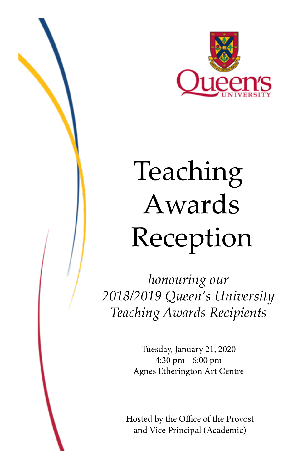

# Teaching Awards Reception

*honouring our 2018/2019 Queen's University Teaching Awards Recipients*

> Tuesday, January 21, 2020 4:30 pm - 6:00 pm Agnes Etherington Art Centre

Hosted by the Office of the Provost and Vice Principal (Academic)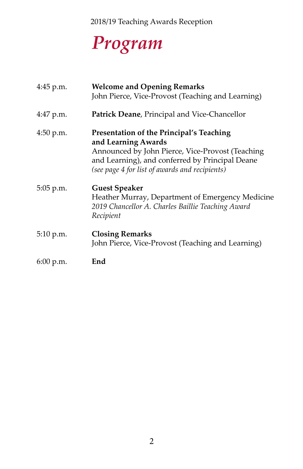2018/19 Teaching Awards Reception

## *Program*

| 4:45 p.m. | <b>Welcome and Opening Remarks</b><br>John Pierce, Vice-Provost (Teaching and Learning)                                                                                                                                  |
|-----------|--------------------------------------------------------------------------------------------------------------------------------------------------------------------------------------------------------------------------|
| 4:47 p.m. | Patrick Deane, Principal and Vice-Chancellor                                                                                                                                                                             |
| 4:50 p.m. | Presentation of the Principal's Teaching<br>and Learning Awards<br>Announced by John Pierce, Vice-Provost (Teaching<br>and Learning), and conferred by Principal Deane<br>(see page 4 for list of awards and recipients) |
| 5:05 p.m. | <b>Guest Speaker</b><br>Heather Murray, Department of Emergency Medicine<br>2019 Chancellor A. Charles Baillie Teaching Award<br>Recipient                                                                               |
| 5:10 p.m. | <b>Closing Remarks</b><br>John Pierce, Vice-Provost (Teaching and Learning)                                                                                                                                              |
| 6:00 p.m. | End                                                                                                                                                                                                                      |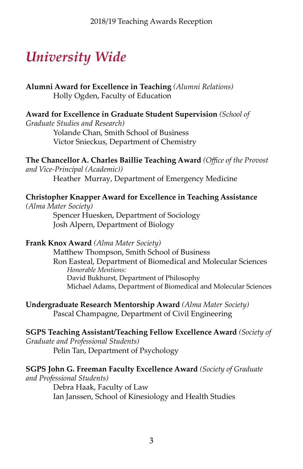### *University Wide*

**Alumni Award for Excellence in Teaching** *(Alumni Relations)* Holly Ogden, Faculty of Education

**Award for Excellence in Graduate Student Supervision** *(School of* 

*Graduate Studies and Research)* 

Yolande Chan, Smith School of Business Victor Snieckus, Department of Chemistry

**The Chancellor A. Charles Baillie Teaching Award** *(Office of the Provost and Vice-Principal (Academic))* 

Heather Murray, Department of Emergency Medicine

**Christopher Knapper Award for Excellence in Teaching Assistance**

*(Alma Mater Society)* 

Spencer Huesken, Department of Sociology Josh Alpern, Department of Biology

**Frank Knox Award** *(Alma Mater Society)* 

 Matthew Thompson, Smith School of Business Ron Easteal, Department of Biomedical and Molecular Sciences *Honorable Mentions:* David Bukhurst, Department of Philosophy Michael Adams, Department of Biomedical and Molecular Sciences

**Undergraduate Research Mentorship Award** *(Alma Mater Society)*  Pascal Champagne, Department of Civil Engineering

**SGPS Teaching Assistant/Teaching Fellow Excellence Award** *(Society of Graduate and Professional Students)*  Pelin Tan, Department of Psychology

#### **SGPS John G. Freeman Faculty Excellence Award** *(Society of Graduate*

*and Professional Students)*  Debra Haak, Faculty of Law Ian Janssen, School of Kinesiology and Health Studies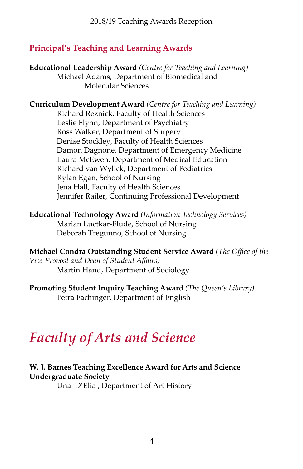#### **Principal's Teaching and Learning Awards**

**Educational Leadership Award** *(Centre for Teaching and Learning)* Michael Adams, Department of Biomedical and Molecular Sciences

**Curriculum Development Award** *(Centre for Teaching and Learning)* Richard Reznick, Faculty of Health Sciences Leslie Flynn, Department of Psychiatry Ross Walker, Department of Surgery Denise Stockley, Faculty of Health Sciences Damon Dagnone, Department of Emergency Medicine Laura McEwen, Department of Medical Education Richard van Wylick, Department of Pediatrics Rylan Egan, School of Nursing Jena Hall, Faculty of Health Sciences Jennifer Railer, Continuing Professional Development

**Educational Technology Award** *(Information Technology Services)* Marian Luctkar-Flude, School of Nursing Deborah Tregunno, School of Nursing

**Michael Condra Outstanding Student Service Award** (*The Office of the Vice-Provost and Dean of Student Affairs)*  Martin Hand, Department of Sociology

**Promoting Student Inquiry Teaching Award** *(The Queen's Library)* Petra Fachinger, Department of English

### *Faculty of Arts and Science*

#### **W. J. Barnes Teaching Excellence Award for Arts and Science Undergraduate Society**

Una D'Elia , Department of Art History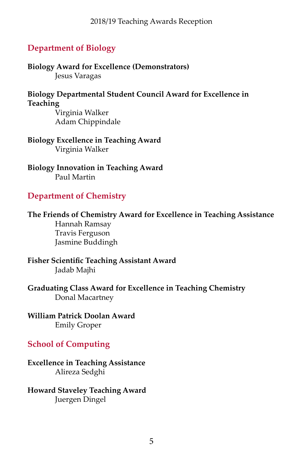#### **Department of Biology**

**Biology Award for Excellence (Demonstrators)** Jesus Varagas

**Biology Departmental Student Council Award for Excellence in Teaching**

> Virginia Walker Adam Chippindale

**Biology Excellence in Teaching Award** Virginia Walker

**Biology Innovation in Teaching Award**  Paul Martin

#### **Department of Chemistry**

**The Friends of Chemistry Award for Excellence in Teaching Assistance** Hannah Ramsay Travis Ferguson Jasmine Buddingh

**Fisher Scientific Teaching Assistant Award** Jadab Majhi

**Graduating Class Award for Excellence in Teaching Chemistry** Donal Macartney

**William Patrick Doolan Award** Emily Groper

#### **School of Computing**

**Excellence in Teaching Assistance** Alireza Sedghi

**Howard Staveley Teaching Award** Juergen Dingel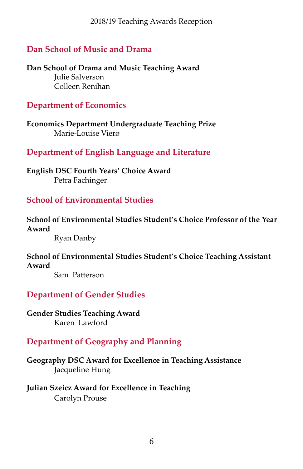#### **Dan School of Music and Drama**

**Dan School of Drama and Music Teaching Award** Julie Salverson Colleen Renihan

#### **Department of Economics**

**Economics Department Undergraduate Teaching Prize** Marie-Louise Vierø

#### **Department of English Language and Literature**

**English DSC Fourth Years' Choice Award** Petra Fachinger

#### **School of Environmental Studies**

**School of Environmental Studies Student's Choice Professor of the Year Award**

Ryan Danby

#### **School of Environmental Studies Student's Choice Teaching Assistant Award**

 Sam Patterson

#### **Department of Gender Studies**

**Gender Studies Teaching Award** Karen Lawford

#### **Department of Geography and Planning**

**Geography DSC Award for Excellence in Teaching Assistance** Jacqueline Hung

#### **Julian Szeicz Award for Excellence in Teaching** Carolyn Prouse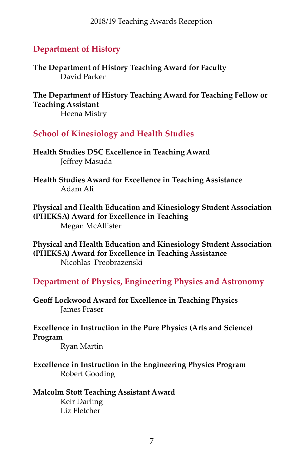#### **Department of History**

**The Department of History Teaching Award for Faculty** David Parker

**The Department of History Teaching Award for Teaching Fellow or Teaching Assistant**

Heena Mistry

**School of Kinesiology and Health Studies**

**Health Studies DSC Excellence in Teaching Award** Jeffrey Masuda

**Health Studies Award for Excellence in Teaching Assistance**  Adam Ali

**Physical and Health Education and Kinesiology Student Association (PHEKSA) Award for Excellence in Teaching** Megan McAllister

**Physical and Health Education and Kinesiology Student Association (PHEKSA) Award for Excellence in Teaching Assistance** Nicohlas Preobrazenski

**Department of Physics, Engineering Physics and Astronomy**

**Geoff Lockwood Award for Excellence in Teaching Physics** James Fraser

**Excellence in Instruction in the Pure Physics (Arts and Science) Program**

Ryan Martin

**Excellence in Instruction in the Engineering Physics Program** Robert Gooding

#### **Malcolm Stott Teaching Assistant Award** Keir Darling Liz Fletcher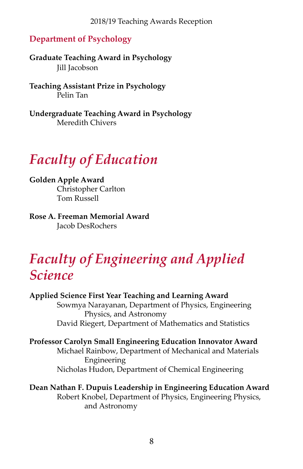#### **Department of Psychology**

**Graduate Teaching Award in Psychology** Jill Jacobson

**Teaching Assistant Prize in Psychology** Pelin Tan

**Undergraduate Teaching Award in Psychology** Meredith Chivers

### *Faculty of Education*

**Golden Apple Award** Christopher Carlton Tom Russell

**Rose A. Freeman Memorial Award** Jacob DesRochers

### *Faculty of Engineering and Applied Science*

**Applied Science First Year Teaching and Learning Award** Sowmya Narayanan, Department of Physics, Engineering Physics, and Astronomy David Riegert, Department of Mathematics and Statistics

**Professor Carolyn Small Engineering Education Innovator Award** Michael Rainbow, Department of Mechanical and Materials Engineering Nicholas Hudon, Department of Chemical Engineering

**Dean Nathan F. Dupuis Leadership in Engineering Education Award** Robert Knobel, Department of Physics, Engineering Physics, and Astronomy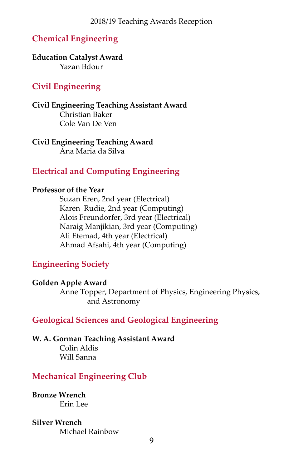#### **Chemical Engineering**

#### **Education Catalyst Award** Yazan Bdour

#### **Civil Engineering**

**Civil Engineering Teaching Assistant Award** Christian Baker Cole Van De Ven

**Civil Engineering Teaching Award** Ana Maria da Silva

#### **Electrical and Computing Engineering**

#### **Professor of the Year**

Suzan Eren, 2nd year (Electrical) Karen Rudie, 2nd year (Computing) Alois Freundorfer, 3rd year (Electrical) Naraig Manjikian, 3rd year (Computing) Ali Etemad, 4th year (Electrical) Ahmad Afsahi, 4th year (Computing)

#### **Engineering Society**

#### **Golden Apple Award**

Anne Topper, Department of Physics, Engineering Physics, and Astronomy

#### **Geological Sciences and Geological Engineering**

#### **W. A. Gorman Teaching Assistant Award** Colin Aldis

Will Sanna

#### **Mechanical Engineering Club**

**Bronze Wrench** Erin Lee

#### **Silver Wrench**

Michael Rainbow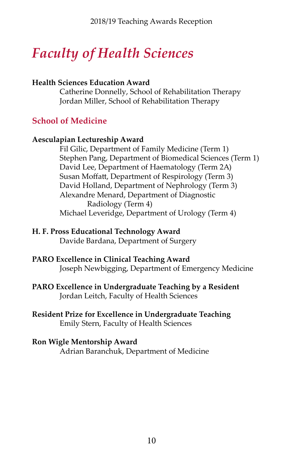### *Faculty of Health Sciences*

#### **Health Sciences Education Award**

Catherine Donnelly, School of Rehabilitation Therapy Jordan Miller, School of Rehabilitation Therapy

#### **School of Medicine**

#### **Aesculapian Lectureship Award**

Fil Gilic, Department of Family Medicine (Term 1) Stephen Pang, Department of Biomedical Sciences (Term 1) David Lee, Department of Haematology (Term 2A) Susan Moffatt, Department of Respirology (Term 3) David Holland, Department of Nephrology (Term 3) Alexandre Menard, Department of Diagnostic Radiology (Term 4) Michael Leveridge, Department of Urology (Term 4)

#### **H. F. Pross Educational Technology Award**

Davide Bardana, Department of Surgery

#### **PARO Excellence in Clinical Teaching Award**

Joseph Newbigging, Department of Emergency Medicine

#### **PARO Excellence in Undergraduate Teaching by a Resident** Jordan Leitch, Faculty of Health Sciences

#### **Resident Prize for Excellence in Undergraduate Teaching** Emily Stern, Faculty of Health Sciences

#### **Ron Wigle Mentorship Award**

Adrian Baranchuk, Department of Medicine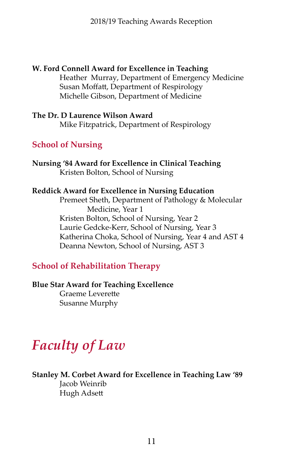**W. Ford Connell Award for Excellence in Teaching** Heather Murray, Department of Emergency Medicine Susan Moffatt, Department of Respirology Michelle Gibson, Department of Medicine

#### **The Dr. D Laurence Wilson Award** Mike Fitzpatrick, Department of Respirology

#### **School of Nursing**

**Nursing '84 Award for Excellence in Clinical Teaching** Kristen Bolton, School of Nursing

#### **Reddick Award for Excellence in Nursing Education**

Premeet Sheth, Department of Pathology & Molecular Medicine, Year 1 Kristen Bolton, School of Nursing, Year 2 Laurie Gedcke-Kerr, School of Nursing, Year 3 Katherina Choka, School of Nursing, Year 4 and AST 4 Deanna Newton, School of Nursing, AST 3

#### **School of Rehabilitation Therapy**

#### **Blue Star Award for Teaching Excellence**

 Graeme Leverette Susanne Murphy

### *Faculty of Law*

#### **Stanley M. Corbet Award for Excellence in Teaching Law '89**  Jacob Weinrib

 Hugh Adsett